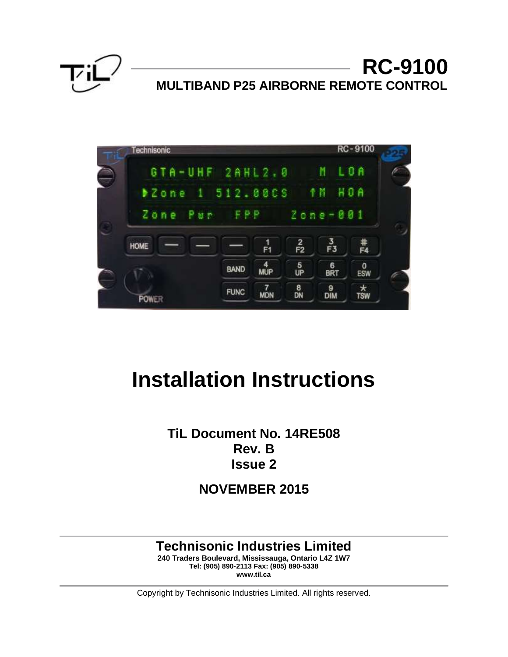



# **Installation Instructions**

**TiL Document No. 14RE508 Rev. B Issue 2**

**NOVEMBER 2015**

# **Technisonic Industries Limited**

**240 Traders Boulevard, Mississauga, Ontario L4Z 1W7 Tel: (905) 890-2113 Fax: (905) 890-5338 www.til.ca**

Copyright by Technisonic Industries Limited. All rights reserved.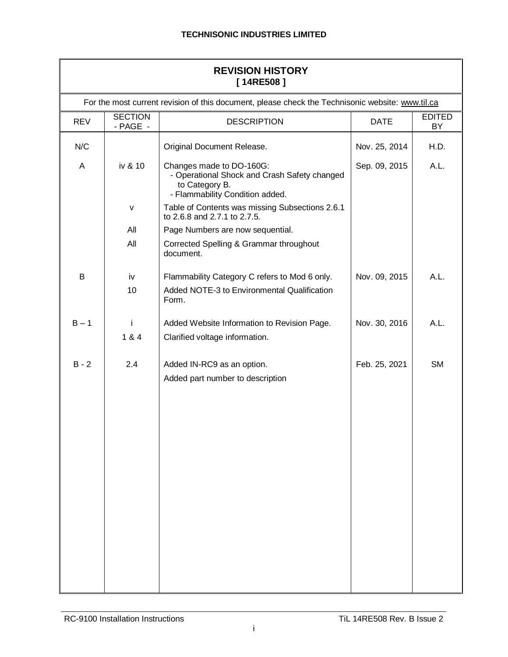| <b>REVISION HISTORY</b><br>[14RE508]                                                             |                            |                                                                                                                               |               |                     |  |  |
|--------------------------------------------------------------------------------------------------|----------------------------|-------------------------------------------------------------------------------------------------------------------------------|---------------|---------------------|--|--|
| For the most current revision of this document, please check the Technisonic website: www.til.ca |                            |                                                                                                                               |               |                     |  |  |
| <b>REV</b>                                                                                       | <b>SECTION</b><br>- PAGE - | <b>DESCRIPTION</b>                                                                                                            | <b>DATE</b>   | <b>EDITED</b><br>BY |  |  |
| N/C                                                                                              |                            | Original Document Release.                                                                                                    | Nov. 25, 2014 | H.D.                |  |  |
| A                                                                                                | iv & 10                    | Changes made to DO-160G:<br>- Operational Shock and Crash Safety changed<br>to Category B.<br>- Flammability Condition added. | Sep. 09, 2015 | A.L.                |  |  |
|                                                                                                  | $\mathsf{V}$               | Table of Contents was missing Subsections 2.6.1<br>to 2.6.8 and 2.7.1 to 2.7.5.                                               |               |                     |  |  |
|                                                                                                  | All                        | Page Numbers are now sequential.                                                                                              |               |                     |  |  |
|                                                                                                  | All                        | Corrected Spelling & Grammar throughout<br>document.                                                                          |               |                     |  |  |
| B                                                                                                | iv                         | Flammability Category C refers to Mod 6 only.                                                                                 | Nov. 09, 2015 | A.L.                |  |  |
|                                                                                                  | 10                         | Added NOTE-3 to Environmental Qualification<br>Form.                                                                          |               |                     |  |  |
| $B - 1$                                                                                          | j.                         | Added Website Information to Revision Page.                                                                                   | Nov. 30, 2016 | A.L.                |  |  |
|                                                                                                  | 184                        | Clarified voltage information.                                                                                                |               |                     |  |  |
| $B - 2$                                                                                          | 2.4                        | Added IN-RC9 as an option.                                                                                                    | Feb. 25, 2021 | <b>SM</b>           |  |  |
|                                                                                                  |                            | Added part number to description                                                                                              |               |                     |  |  |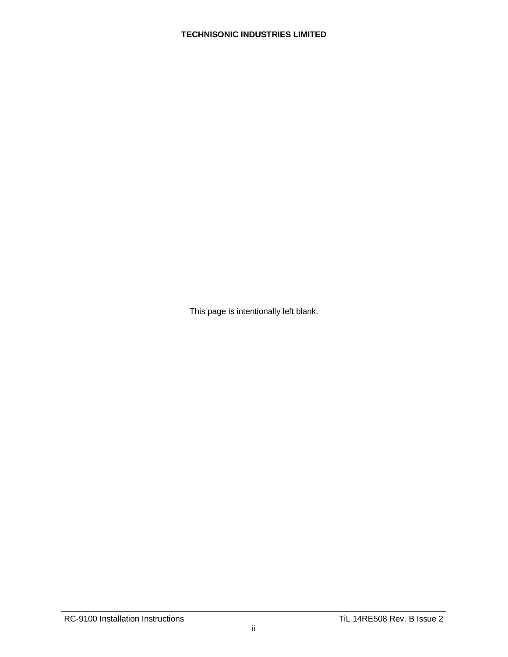This page is intentionally left blank.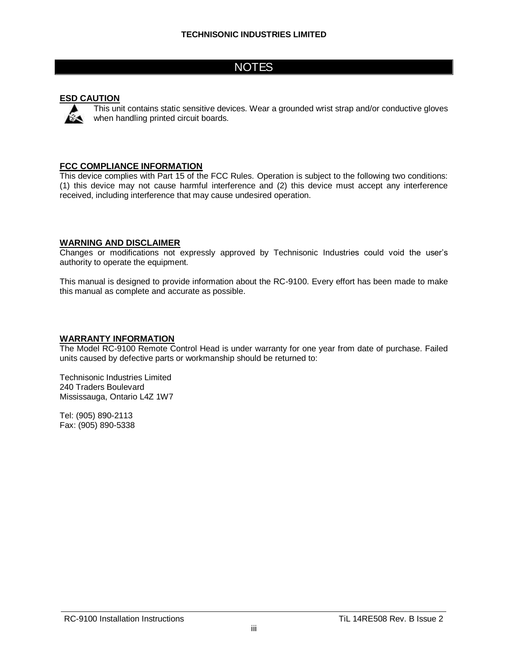# **NOTES**

#### **ESD CAUTION**



This unit contains static sensitive devices. Wear a grounded wrist strap and/or conductive gloves when handling printed circuit boards.

#### **FCC COMPLIANCE INFORMATION**

This device complies with Part 15 of the FCC Rules. Operation is subject to the following two conditions: (1) this device may not cause harmful interference and (2) this device must accept any interference received, including interference that may cause undesired operation.

#### **WARNING AND DISCLAIMER**

Changes or modifications not expressly approved by Technisonic Industries could void the user's authority to operate the equipment.

This manual is designed to provide information about the RC-9100. Every effort has been made to make this manual as complete and accurate as possible.

#### **WARRANTY INFORMATION**

The Model RC-9100 Remote Control Head is under warranty for one year from date of purchase. Failed units caused by defective parts or workmanship should be returned to:

Technisonic Industries Limited 240 Traders Boulevard Mississauga, Ontario L4Z 1W7

Tel: (905) 890-2113 Fax: (905) 890-5338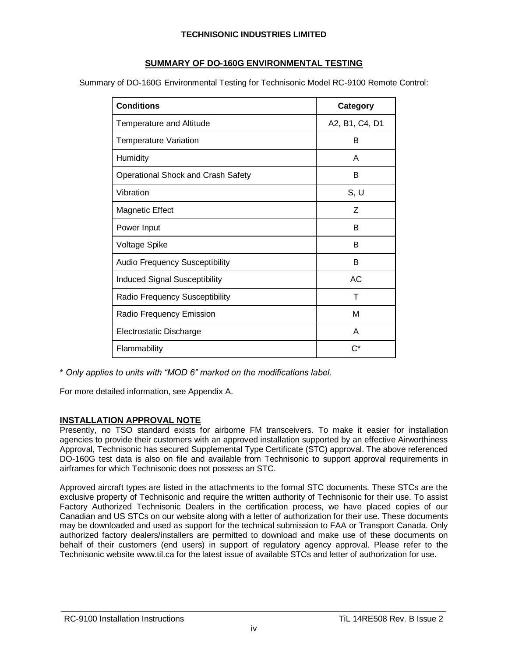### **SUMMARY OF DO-160G ENVIRONMENTAL TESTING**

Summary of DO-160G Environmental Testing for Technisonic Model RC-9100 Remote Control:

| <b>Conditions</b>                         | Category       |
|-------------------------------------------|----------------|
| Temperature and Altitude                  | A2, B1, C4, D1 |
| <b>Temperature Variation</b>              | B              |
| Humidity                                  | A              |
| <b>Operational Shock and Crash Safety</b> | B              |
| Vibration                                 | S, U           |
| <b>Magnetic Effect</b>                    | 7              |
| Power Input                               | B              |
| <b>Voltage Spike</b>                      | B              |
| <b>Audio Frequency Susceptibility</b>     | B              |
| <b>Induced Signal Susceptibility</b>      | АC             |
| <b>Radio Frequency Susceptibility</b>     | т              |
| Radio Frequency Emission                  | М              |
| Electrostatic Discharge                   | A              |
| Flammability                              | C*             |

\* *Only applies to units with "MOD 6" marked on the modifications label.*

For more detailed information, see Appendix A.

#### **INSTALLATION APPROVAL NOTE**

Presently, no TSO standard exists for airborne FM transceivers. To make it easier for installation agencies to provide their customers with an approved installation supported by an effective Airworthiness Approval, Technisonic has secured Supplemental Type Certificate (STC) approval. The above referenced DO-160G test data is also on file and available from Technisonic to support approval requirements in airframes for which Technisonic does not possess an STC.

Approved aircraft types are listed in the attachments to the formal STC documents. These STCs are the exclusive property of Technisonic and require the written authority of Technisonic for their use. To assist Factory Authorized Technisonic Dealers in the certification process, we have placed copies of our Canadian and US STCs on our website along with a letter of authorization for their use. These documents may be downloaded and used as support for the technical submission to FAA or Transport Canada. Only authorized factory dealers/installers are permitted to download and make use of these documents on behalf of their customers (end users) in support of regulatory agency approval. Please refer to the Technisonic website www.til.ca for the latest issue of available STCs and letter of authorization for use.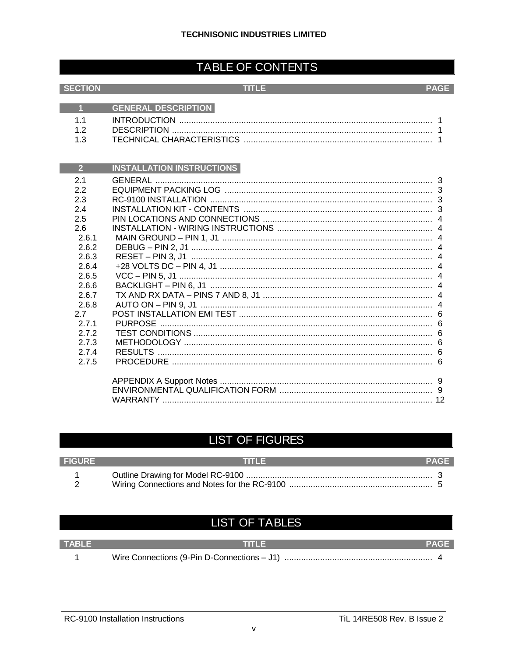# TABLE OF CONTENTS

| <b>SECTION</b> | TITLE                            | <b>PAGE</b> |
|----------------|----------------------------------|-------------|
|                |                                  |             |
|                | <b>GENERAL DESCRIPTION</b>       |             |
| 1.1            |                                  |             |
| 1.2            |                                  |             |
| 1.3            |                                  |             |
|                |                                  |             |
|                |                                  |             |
| $\overline{2}$ | <b>INSTALLATION INSTRUCTIONS</b> |             |
| 2.1            |                                  |             |
| 2.2            |                                  |             |
| 2.3            |                                  |             |
| 2.4            |                                  |             |
| 2.5            |                                  |             |
| 2.6            |                                  |             |
| 2.6.1          |                                  |             |
| 2.6.2          |                                  |             |
| 2.6.3          |                                  |             |
| 2.6.4          |                                  |             |
| 2.6.5          |                                  |             |
| 2.6.6          |                                  |             |
| 2.6.7          |                                  |             |
| 2.6.8          |                                  |             |
| 2.7            |                                  |             |
| 2.7.1          |                                  |             |
| 2.7.2          |                                  |             |
| 2.7.3          |                                  |             |
| 2.7.4          |                                  |             |
| 2.7.5          |                                  |             |
|                |                                  |             |
|                |                                  |             |
|                |                                  |             |
|                | WARRANTY                         |             |

# **LIST OF FIGURES**

| <b>FIGURE</b> | mind del | <b>PAGE</b> |
|---------------|----------|-------------|
|               |          |             |
|               |          |             |

# **LIST OF TABLES**

| <b>TABLE</b> |                                             |  |
|--------------|---------------------------------------------|--|
|              | Wire Connections (9-Pin D-Connections – J1) |  |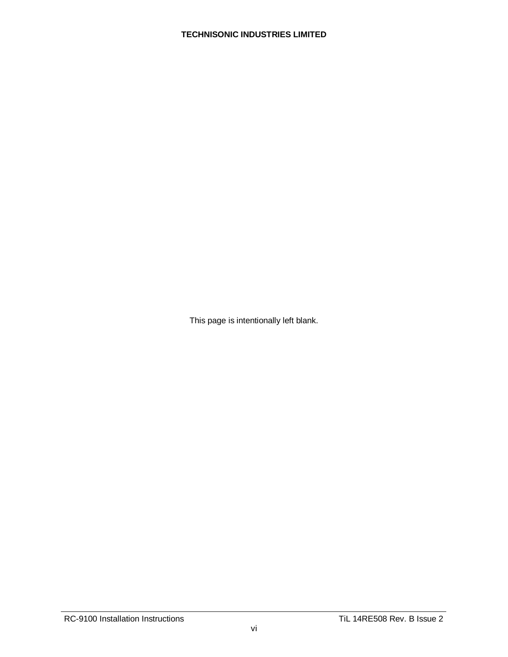This page is intentionally left blank.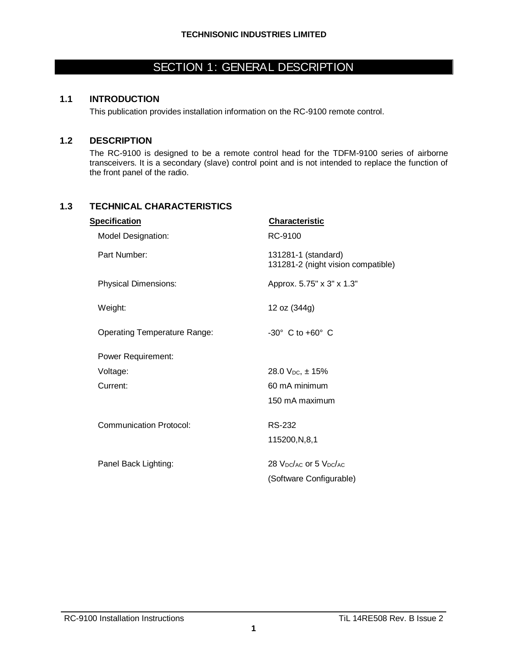# SECTION 1: GENERAL DESCRIPTION

#### **1.1 INTRODUCTION**

This publication provides installation information on the RC-9100 remote control.

#### **1.2 DESCRIPTION**

The RC-9100 is designed to be a remote control head for the TDFM-9100 series of airborne transceivers. It is a secondary (slave) control point and is not intended to replace the function of the front panel of the radio.

#### **1.3 TECHNICAL CHARACTERISTICS**

| <u>Specification</u>                | <b>Characteristic</b>                                                   |
|-------------------------------------|-------------------------------------------------------------------------|
| <b>Model Designation:</b>           | RC-9100                                                                 |
| Part Number:                        | 131281-1 (standard)<br>131281-2 (night vision compatible)               |
| <b>Physical Dimensions:</b>         | Approx. 5.75" x 3" x 1.3"                                               |
| Weight:                             | 12 oz (344g)                                                            |
| <b>Operating Temperature Range:</b> | $-30^\circ$ C to $+60^\circ$ C                                          |
| <b>Power Requirement:</b>           |                                                                         |
| Voltage:                            | 28.0 $V_{DC}$ , $\pm$ 15%                                               |
| Current:                            | 60 mA minimum                                                           |
|                                     | 150 mA maximum                                                          |
| Communication Protocol:             | <b>RS-232</b>                                                           |
|                                     | 115200, N, 8, 1                                                         |
| Panel Back Lighting:                | 28 V <sub>DC</sub> / <sub>AC</sub> or 5 V <sub>DC</sub> / <sub>AC</sub> |
|                                     | (Software Configurable)                                                 |
|                                     |                                                                         |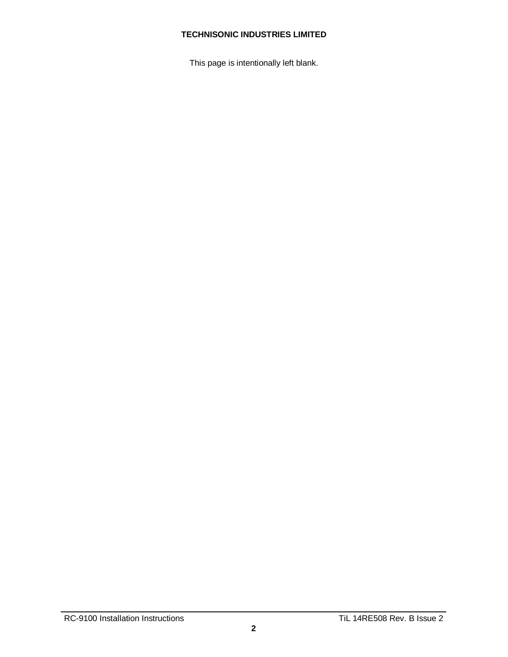This page is intentionally left blank.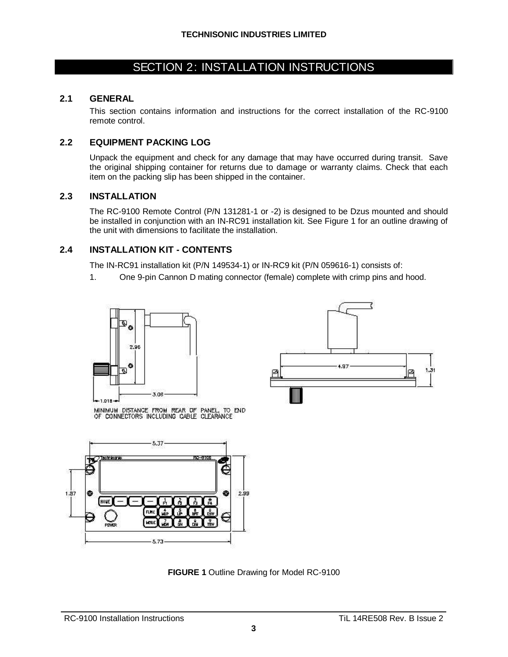# SECTION 2: INSTALLATION INSTRUCTIONS

#### **2.1 GENERAL**

This section contains information and instructions for the correct installation of the RC-9100 remote control.

#### **2.2 EQUIPMENT PACKING LOG**

Unpack the equipment and check for any damage that may have occurred during transit. Save the original shipping container for returns due to damage or warranty claims. Check that each item on the packing slip has been shipped in the container.

### **2.3 INSTALLATION**

The RC-9100 Remote Control (P/N 131281-1 or -2) is designed to be Dzus mounted and should be installed in conjunction with an IN-RC91 installation kit. See Figure 1 for an outline drawing of the unit with dimensions to facilitate the installation.

### **2.4 INSTALLATION KIT - CONTENTS**

The IN-RC91 installation kit (P/N 149534-1) or IN-RC9 kit (P/N 059616-1) consists of:

1. One 9-pin Cannon D mating connector (female) complete with crimp pins and hood.









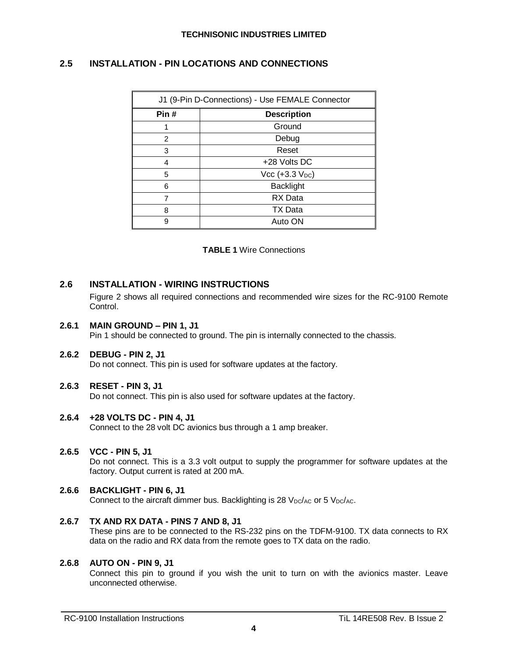#### **2.5 INSTALLATION - PIN LOCATIONS AND CONNECTIONS**

| J1 (9-Pin D-Connections) - Use FEMALE Connector |                     |  |  |  |
|-------------------------------------------------|---------------------|--|--|--|
| Pin#                                            | <b>Description</b>  |  |  |  |
| 1                                               | Ground              |  |  |  |
| 2                                               | Debug               |  |  |  |
| 3                                               | Reset               |  |  |  |
| 4                                               | +28 Volts DC        |  |  |  |
| 5                                               | Vcc $(+3.3 V_{DC})$ |  |  |  |
| 6                                               | <b>Backlight</b>    |  |  |  |
|                                                 | RX Data             |  |  |  |
| я                                               | <b>TX Data</b>      |  |  |  |
| 9                                               | Auto ON             |  |  |  |

**TABLE 1** Wire Connections

#### **2.6 INSTALLATION - WIRING INSTRUCTIONS**

Figure 2 shows all required connections and recommended wire sizes for the RC-9100 Remote Control.

#### **2.6.1 MAIN GROUND – PIN 1, J1**

Pin 1 should be connected to ground. The pin is internally connected to the chassis.

#### **2.6.2 DEBUG - PIN 2, J1**

Do not connect. This pin is used for software updates at the factory.

#### **2.6.3 RESET - PIN 3, J1**

Do not connect. This pin is also used for software updates at the factory.

#### **2.6.4 +28 VOLTS DC - PIN 4, J1**

Connect to the 28 volt DC avionics bus through a 1 amp breaker.

#### **2.6.5 VCC - PIN 5, J1**

Do not connect. This is a 3.3 volt output to supply the programmer for software updates at the factory. Output current is rated at 200 mA.

#### **2.6.6 BACKLIGHT - PIN 6, J1**

Connect to the aircraft dimmer bus. Backlighting is 28 V<sub>DC</sub>/AC or 5 V<sub>DC</sub>/AC.

#### **2.6.7 TX AND RX DATA - PINS 7 AND 8, J1**

These pins are to be connected to the RS-232 pins on the TDFM-9100. TX data connects to RX data on the radio and RX data from the remote goes to TX data on the radio.

#### **2.6.8 AUTO ON - PIN 9, J1**

Connect this pin to ground if you wish the unit to turn on with the avionics master. Leave unconnected otherwise.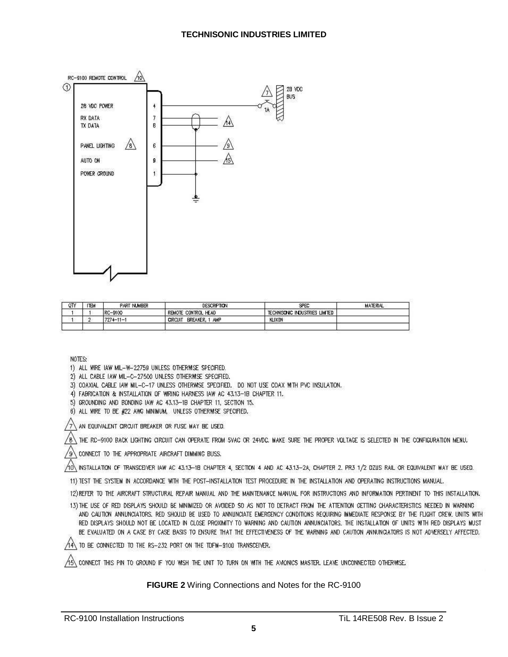**MATERIAL** 

### FIGURE 2 Wiring Connections and Notes for the RC-9100

 $5\phantom{.0}$ 

⁄15\ CONNECT THIS PIN TO GROUND IF YOU WISH THE UNIT TO TURN ON WITH THE AMONICS MASTER. LEAVE UNCONNECTED OTHERWISE

- TO BE CONNECTED TO THE RS-232 PORT ON THE TDFM-9100 TRANSCEIVER. /IA
- 13) THE USE OF RED DISPLAYS SHOULD BE MINIMIZED OR AVOIDED SO AS NOT TO DETRACT FROM THE ATTENTION GETTING CHARACTERISTICS NEEDED IN WARNING AND CAUTION ANNUNCIATORS. RED SHOULD BE USED TO ANNUNCIATE EMERGENCY CONDITIONS REQUIRING IMMEDIATE RESPONSE BY THE FLIGHT CREW, UNITS WITH RED DISPLAYS SHOULD NOT BE LOCATED IN CLOSE PROXIMITY TO WARNING AND CAUTION ANNUNCIATORS. THE INSTALLATION OF UNITS WITH RED DISPLAYS MUST BE EVALUATED ON A CASE BY CASE BASIS TO ENSURE THAT THE EFFECTIVENESS OF THE WARNING AND CAUTION ANNUNCIATORS IS NOT ADVERSELY AFFECTED,
- 12) REFER TO THE AIRCRAFT STRUCTURAL REPAIR MANUAL AND THE MAINTENANCE MANUAL FOR INSTRUCTIONS AND INFORMATION PERTINENT TO THIS INSTALLATION.
- 
- 11) TEST THE SYSTEM IN ACCORDANCE WITH THE POST-INSTALLATION TEST PROCEDURE IN THE INSTALLATION AND OPERATING INSTRUCTIONS MANUAL.

∕IO\ INSTALLATION OF TRANSCEIVER IAW AC 43.13—1B CHAPTER 4, SECTION 4 AND AC 43.13-2A, CHAPTER 2. PR3 1/2 DZUS RAIL OR EQUIVALENT MAY BE USED.

/9 CONNECT TO THE APPROPRIATE AIRCRAFT DIMMING BUSS.

/в THE RC-9100 BACK LIGHTING CIRCUIT CAN OPERATE FROM 5VAC OR 24VDC, MAKE SURE THE PROPER VOLTAGE IS SELECTED IN THE CONFIGURATION MENU.

**TECHNISONIC INDUSTRIES LIMITED** 

ÁÀ

28 VDC **BUS** 

SPEC. TECHNISONC INDUSTRIES LIMITED

KUXON

AN EQUIVALENT CIRCUIT BREAKER OR FUSE MAY BE USED.

6) ALL WIRE TO BE #22 AWG MINIMUM, UNLESS OTHERWISE SPECIFIED.

5) GROUNDING AND BONDING IAW AC 43.13-18 CHAPTER 11, SECTION 15.

4) FABRICATION & INSTALLATION OF WIRING HARNESS IAW AC 43.13-1B CHAPTER 11.

3) COAXIAL CABLE IAW MIL-C-17 UNLESS OTHERWISE SPECIFIED. DO NOT USE COAX WITH PVC INSULATION.

2) ALL CABLE IAW MIL-C-27500 UNLESS OTHERWISE SPECIFIED.

NOTES:

1) ALL WIRE IAW MIL-W-22759 UNLESS OTHERWISE SPECIFIED.

**DESCRIPTION** 

REMOTE CONTROL HEAD

CIRCUIT BREAKER, 1 AMP

**PART NUMBER** 

RC-9100

 $727 + 11 - 1$ 

Ad

 $\sqrt{8}$ 

 $\overline{3}$ 

8

6

9

 $\mathbf{I}$ 

RC-9100 REMOTE CONTROL

28 VDC POWER RX DATA

PANEL LIGHTING

POWER GROUND

TX DATA

AUTO ON

0B

**ITFM** 

 $\mathbf{1}$ 

⊕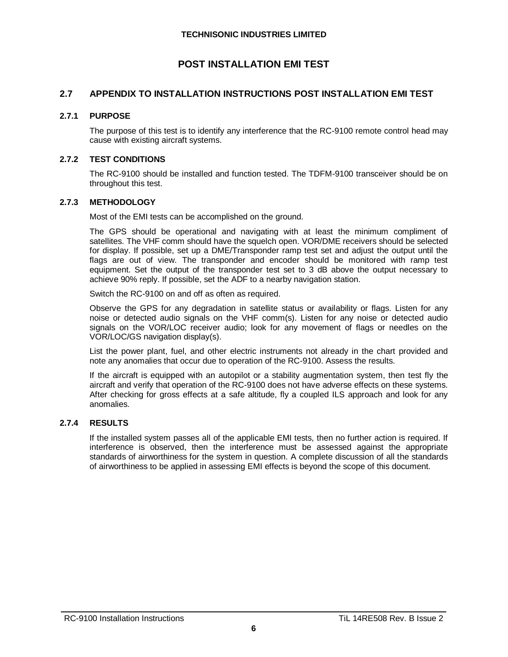# **POST INSTALLATION EMI TEST**

#### **2.7 APPENDIX TO INSTALLATION INSTRUCTIONS POST INSTALLATION EMI TEST**

#### **2.7.1 PURPOSE**

The purpose of this test is to identify any interference that the RC-9100 remote control head may cause with existing aircraft systems.

#### **2.7.2 TEST CONDITIONS**

The RC-9100 should be installed and function tested. The TDFM-9100 transceiver should be on throughout this test.

#### **2.7.3 METHODOLOGY**

Most of the EMI tests can be accomplished on the ground.

The GPS should be operational and navigating with at least the minimum compliment of satellites. The VHF comm should have the squelch open. VOR/DME receivers should be selected for display. If possible, set up a DME/Transponder ramp test set and adjust the output until the flags are out of view. The transponder and encoder should be monitored with ramp test equipment. Set the output of the transponder test set to 3 dB above the output necessary to achieve 90% reply. If possible, set the ADF to a nearby navigation station.

Switch the RC-9100 on and off as often as required.

Observe the GPS for any degradation in satellite status or availability or flags. Listen for any noise or detected audio signals on the VHF comm(s). Listen for any noise or detected audio signals on the VOR/LOC receiver audio; look for any movement of flags or needles on the VOR/LOC/GS navigation display(s).

List the power plant, fuel, and other electric instruments not already in the chart provided and note any anomalies that occur due to operation of the RC-9100. Assess the results.

If the aircraft is equipped with an autopilot or a stability augmentation system, then test fly the aircraft and verify that operation of the RC-9100 does not have adverse effects on these systems. After checking for gross effects at a safe altitude, fly a coupled ILS approach and look for any anomalies.

#### **2.7.4 RESULTS**

If the installed system passes all of the applicable EMI tests, then no further action is required. If interference is observed, then the interference must be assessed against the appropriate standards of airworthiness for the system in question. A complete discussion of all the standards of airworthiness to be applied in assessing EMI effects is beyond the scope of this document.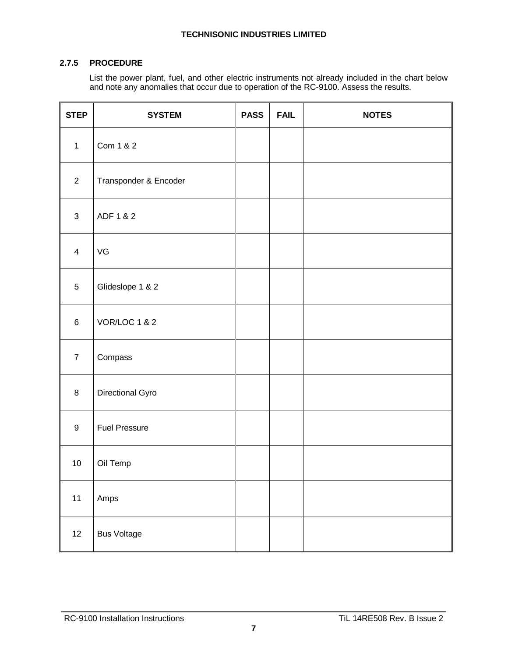#### **2.7.5 PROCEDURE**

List the power plant, fuel, and other electric instruments not already included in the chart below and note any anomalies that occur due to operation of the RC-9100. Assess the results.

| <b>STEP</b>             | <b>SYSTEM</b>            | <b>PASS</b> | <b>FAIL</b> | <b>NOTES</b> |
|-------------------------|--------------------------|-------------|-------------|--------------|
| $\mathbf{1}$            | Com 1 & 2                |             |             |              |
| $\overline{2}$          | Transponder & Encoder    |             |             |              |
| $\sqrt{3}$              | ADF 1 & 2                |             |             |              |
| $\overline{\mathbf{4}}$ | VG                       |             |             |              |
| $\sqrt{5}$              | Glideslope 1 & 2         |             |             |              |
| $\,6\,$                 | <b>VOR/LOC 1 &amp; 2</b> |             |             |              |
| $\overline{7}$          | Compass                  |             |             |              |
| $\,8\,$                 | Directional Gyro         |             |             |              |
| $\boldsymbol{9}$        | <b>Fuel Pressure</b>     |             |             |              |
| $10\,$                  | Oil Temp                 |             |             |              |
| 11                      | Amps                     |             |             |              |
| 12                      | <b>Bus Voltage</b>       |             |             |              |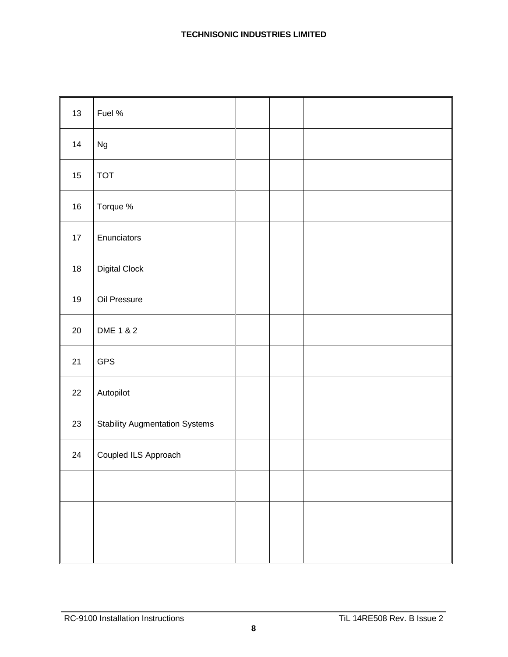| 13     | Fuel %                                |  |  |
|--------|---------------------------------------|--|--|
| 14     | <b>Ng</b>                             |  |  |
| 15     | <b>TOT</b>                            |  |  |
| 16     | Torque %                              |  |  |
| 17     | Enunciators                           |  |  |
| $18\,$ | Digital Clock                         |  |  |
| 19     | Oil Pressure                          |  |  |
| 20     | DME 1 & 2                             |  |  |
| 21     | GPS                                   |  |  |
| 22     | Autopilot                             |  |  |
| 23     | <b>Stability Augmentation Systems</b> |  |  |
| 24     | Coupled ILS Approach                  |  |  |
|        |                                       |  |  |
|        |                                       |  |  |
|        |                                       |  |  |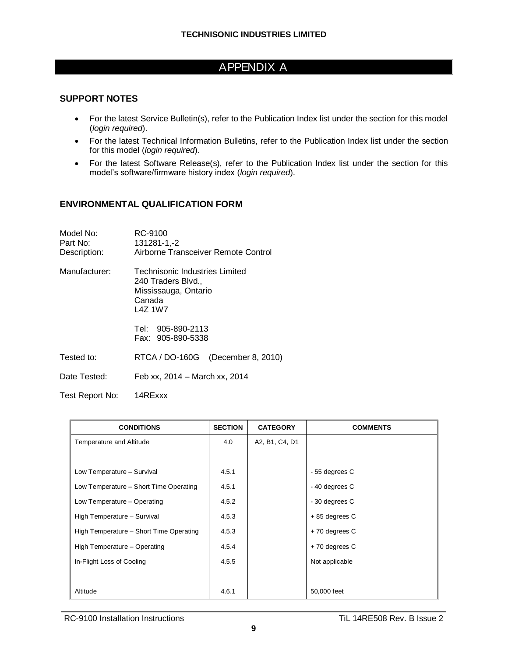# APPENDIX A

### **SUPPORT NOTES**

- For the latest Service Bulletin(s), refer to the Publication Index list under the section for this model (*login required*).
- For the latest Technical Information Bulletins, refer to the Publication Index list under the section for this model (*login required*).
- For the latest Software Release(s), refer to the Publication Index list under the section for this model's software/firmware history index (*login required*).

#### **ENVIRONMENTAL QUALIFICATION FORM**

| Model No:<br>Part No:<br>Description: | RC-9100<br>131281-1,-2<br>Airborne Transceiver Remote Control                                     |  |  |
|---------------------------------------|---------------------------------------------------------------------------------------------------|--|--|
| Manufacturer:                         | Technisonic Industries Limited<br>240 Traders Blvd.,<br>Mississauga, Ontario<br>Canada<br>L4Z 1W7 |  |  |
|                                       | Tel: 905-890-2113<br>Fax: 905-890-5338                                                            |  |  |
| Tested to:                            | RTCA / DO-160G<br>(December 8, 2010)                                                              |  |  |
| Date Tested:                          | Feb xx, 2014 – March xx, 2014                                                                     |  |  |
|                                       |                                                                                                   |  |  |

Test Report No: 14RExxx

| <b>CONDITIONS</b>                       | <b>SECTION</b> | <b>CATEGORY</b> | <b>COMMENTS</b> |
|-----------------------------------------|----------------|-----------------|-----------------|
| <b>Temperature and Altitude</b>         | 4.0            | A2, B1, C4, D1  |                 |
|                                         |                |                 |                 |
| Low Temperature - Survival              | 4.5.1          |                 | - 55 degrees C  |
| Low Temperature - Short Time Operating  | 4.5.1          |                 | - 40 degrees C  |
| Low Temperature - Operating             | 4.5.2          |                 | - 30 degrees C  |
| High Temperature - Survival             | 4.5.3          |                 | $+85$ degrees C |
| High Temperature - Short Time Operating | 4.5.3          |                 | +70 degrees C   |
| High Temperature - Operating            | 4.5.4          |                 | +70 degrees C   |
| In-Flight Loss of Cooling               | 4.5.5          |                 | Not applicable  |
|                                         |                |                 |                 |
| Altitude                                | 4.6.1          |                 | 50,000 feet     |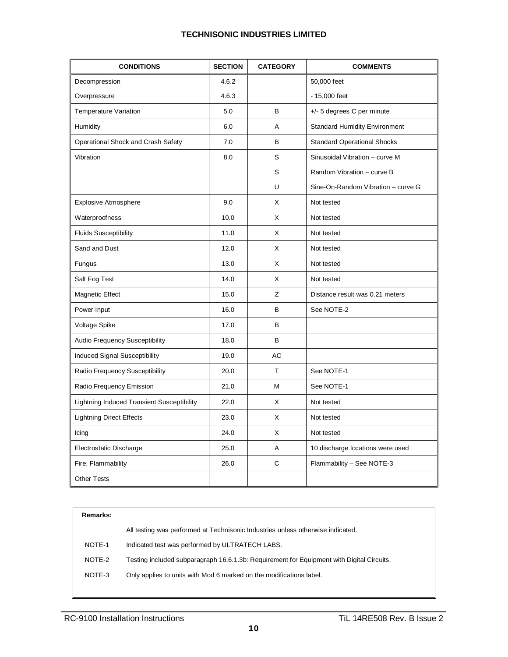| <b>CONDITIONS</b>                                 | <b>SECTION</b> | <b>CATEGORY</b> | <b>COMMENTS</b>                      |
|---------------------------------------------------|----------------|-----------------|--------------------------------------|
| Decompression                                     | 4.6.2          |                 | 50,000 feet                          |
| Overpressure                                      | 4.6.3          |                 | - 15,000 feet                        |
| Temperature Variation                             | 5.0            | B               | +/- 5 degrees C per minute           |
| Humidity                                          | 6.0            | A               | <b>Standard Humidity Environment</b> |
| Operational Shock and Crash Safety                | 7.0            | B               | <b>Standard Operational Shocks</b>   |
| Vibration                                         | 8.0            | S               | Sinusoidal Vibration - curve M       |
|                                                   |                | S               | Random Vibration - curve B           |
|                                                   |                | U               | Sine-On-Random Vibration - curve G   |
| <b>Explosive Atmosphere</b>                       | 9.0            | Х               | Not tested                           |
| Waterproofness                                    | 10.0           | X               | Not tested                           |
| <b>Fluids Susceptibility</b>                      | 11.0           | X               | Not tested                           |
| Sand and Dust                                     | 12.0           | X               | Not tested                           |
| Fungus                                            | 13.0           | X               | Not tested                           |
| Salt Fog Test                                     | 14.0           | X               | Not tested                           |
| Magnetic Effect                                   | 15.0           | Z               | Distance result was 0.21 meters      |
| Power Input                                       | 16.0           | B               | See NOTE-2                           |
| Voltage Spike                                     | 17.0           | B               |                                      |
| Audio Frequency Susceptibility                    | 18.0           | B               |                                      |
| <b>Induced Signal Susceptibility</b>              | 19.0           | <b>AC</b>       |                                      |
| Radio Frequency Susceptibility                    | 20.0           | T               | See NOTE-1                           |
| Radio Frequency Emission                          | 21.0           | м               | See NOTE-1                           |
| <b>Lightning Induced Transient Susceptibility</b> | 22.0           | X               | Not tested                           |
| <b>Lightning Direct Effects</b>                   | 23.0           | X               | Not tested                           |
| Icing                                             | 24.0           | X               | Not tested                           |
| Electrostatic Discharge                           | 25.0           | A               | 10 discharge locations were used     |
| Fire, Flammability                                | 26.0           | C               | Flammability - See NOTE-3            |
| <b>Other Tests</b>                                |                |                 |                                      |

| Remarks: |
|----------|
|----------|

|        | All testing was performed at Technisonic Industries unless otherwise indicated.           |
|--------|-------------------------------------------------------------------------------------------|
| NOTE-1 | Indicated test was performed by ULTRATECH LABS.                                           |
| NOTE-2 | Testing included subparagraph 16.6.1.3b: Requirement for Equipment with Digital Circuits. |
| NOTE-3 | Only applies to units with Mod 6 marked on the modifications label.                       |
|        |                                                                                           |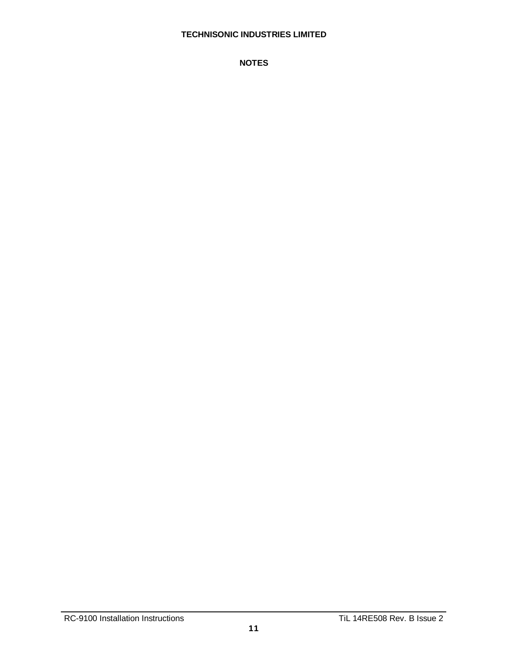**NOTES**